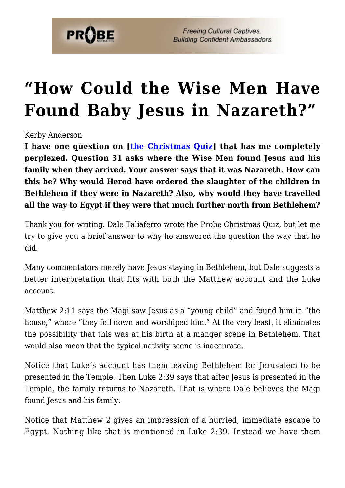

**Freeing Cultural Captives. Building Confident Ambassadors.** 

## **["How Could the Wise Men Have](https://probe.org/how-could-the-wise-men-have-found-baby-jesus-in-nazareth/) [Found Baby Jesus in Nazareth?"](https://probe.org/how-could-the-wise-men-have-found-baby-jesus-in-nazareth/)**

Kerby Anderson

**I have one question on [[the Christmas Quiz\]](https://www.probe.org/a-christmas-quiz/) that has me completely perplexed. Question 31 asks where the Wise Men found Jesus and his family when they arrived. Your answer says that it was Nazareth. How can this be? Why would Herod have ordered the slaughter of the children in Bethlehem if they were in Nazareth? Also, why would they have travelled all the way to Egypt if they were that much further north from Bethlehem?**

Thank you for writing. Dale Taliaferro wrote the Probe Christmas Quiz, but let me try to give you a brief answer to why he answered the question the way that he did.

Many commentators merely have Jesus staying in Bethlehem, but Dale suggests a better interpretation that fits with both the Matthew account and the Luke account.

Matthew 2:11 says the Magi saw Jesus as a "young child" and found him in "the house," where "they fell down and worshiped him." At the very least, it eliminates the possibility that this was at his birth at a manger scene in Bethlehem. That would also mean that the typical nativity scene is inaccurate.

Notice that Luke's account has them leaving Bethlehem for Jerusalem to be presented in the Temple. Then Luke 2:39 says that after Jesus is presented in the Temple, the family returns to Nazareth. That is where Dale believes the Magi found Jesus and his family.

Notice that Matthew 2 gives an impression of a hurried, immediate escape to Egypt. Nothing like that is mentioned in Luke 2:39. Instead we have them